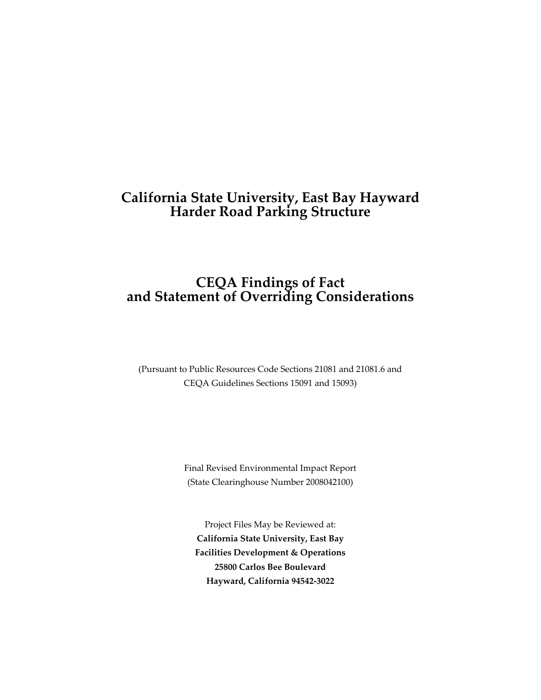# **California State University, East Bay Hayward Harder Road Parking Structure**

# **CEQA Findings of Fact and Statement of Overriding Considerations**

(Pursuant to Public Resources Code Sections 21081 and 21081.6 and CEQA Guidelines Sections 15091 and 15093)

> Final Revised Environmental Impact Report (State Clearinghouse Number 2008042100)

Project Files May be Reviewed at: **California State University, East Bay Facilities Development & Operations 25800 Carlos Bee Boulevard Hayward, California 94542-3022**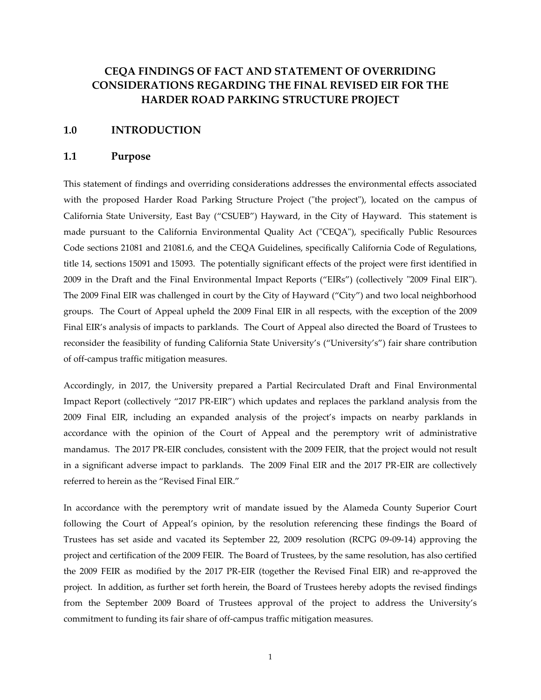# **CEQA FINDINGS OF FACT AND STATEMENT OF OVERRIDING CONSIDERATIONS REGARDING THE FINAL REVISED EIR FOR THE HARDER ROAD PARKING STRUCTURE PROJECT**

#### **1.0 INTRODUCTION**

#### **1.1 Purpose**

This statement of findings and overriding considerations addresses the environmental effects associated with the proposed Harder Road Parking Structure Project ("the project"), located on the campus of California State University, East Bay ("CSUEB") Hayward, in the City of Hayward. This statement is made pursuant to the California Environmental Quality Act ("CEQA"), specifically Public Resources Code sections 21081 and 21081.6, and the CEQA Guidelines, specifically California Code of Regulations, title 14, sections 15091 and 15093. The potentially significant effects of the project were first identified in 2009 in the Draft and the Final Environmental Impact Reports ("EIRs") (collectively "2009 Final EIR"). The 2009 Final EIR was challenged in court by the City of Hayward ("City") and two local neighborhood groups. The Court of Appeal upheld the 2009 Final EIR in all respects, with the exception of the 2009 Final EIR's analysis of impacts to parklands. The Court of Appeal also directed the Board of Trustees to reconsider the feasibility of funding California State University's ("University's") fair share contribution of off-campus traffic mitigation measures.

Accordingly, in 2017, the University prepared a Partial Recirculated Draft and Final Environmental Impact Report (collectively "2017 PR-EIR") which updates and replaces the parkland analysis from the 2009 Final EIR, including an expanded analysis of the project's impacts on nearby parklands in accordance with the opinion of the Court of Appeal and the peremptory writ of administrative mandamus. The 2017 PR-EIR concludes, consistent with the 2009 FEIR, that the project would not result in a significant adverse impact to parklands. The 2009 Final EIR and the 2017 PR-EIR are collectively referred to herein as the "Revised Final EIR."

In accordance with the peremptory writ of mandate issued by the Alameda County Superior Court following the Court of Appeal's opinion, by the resolution referencing these findings the Board of Trustees has set aside and vacated its September 22, 2009 resolution (RCPG 09-09-14) approving the project and certification of the 2009 FEIR. The Board of Trustees, by the same resolution, has also certified the 2009 FEIR as modified by the 2017 PR-EIR (together the Revised Final EIR) and re-approved the project. In addition, as further set forth herein, the Board of Trustees hereby adopts the revised findings from the September 2009 Board of Trustees approval of the project to address the University's commitment to funding its fair share of off-campus traffic mitigation measures.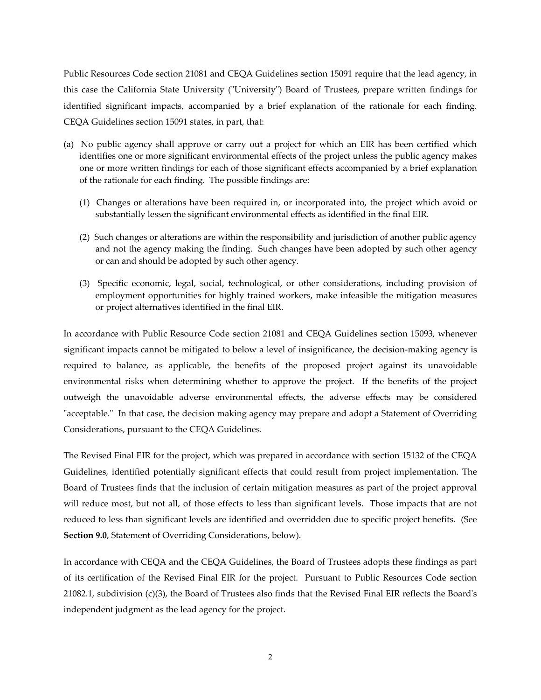Public Resources Code section 21081 and CEQA Guidelines section 15091 require that the lead agency, in this case the California State University ("University") Board of Trustees, prepare written findings for identified significant impacts, accompanied by a brief explanation of the rationale for each finding. CEQA Guidelines section 15091 states, in part, that:

- (a) No public agency shall approve or carry out a project for which an EIR has been certified which identifies one or more significant environmental effects of the project unless the public agency makes one or more written findings for each of those significant effects accompanied by a brief explanation of the rationale for each finding. The possible findings are:
	- (1) Changes or alterations have been required in, or incorporated into, the project which avoid or substantially lessen the significant environmental effects as identified in the final EIR.
	- (2) Such changes or alterations are within the responsibility and jurisdiction of another public agency and not the agency making the finding. Such changes have been adopted by such other agency or can and should be adopted by such other agency.
	- (3) Specific economic, legal, social, technological, or other considerations, including provision of employment opportunities for highly trained workers, make infeasible the mitigation measures or project alternatives identified in the final EIR.

In accordance with Public Resource Code section 21081 and CEQA Guidelines section 15093, whenever significant impacts cannot be mitigated to below a level of insignificance, the decision-making agency is required to balance, as applicable, the benefits of the proposed project against its unavoidable environmental risks when determining whether to approve the project. If the benefits of the project outweigh the unavoidable adverse environmental effects, the adverse effects may be considered "acceptable." In that case, the decision making agency may prepare and adopt a Statement of Overriding Considerations, pursuant to the CEQA Guidelines.

The Revised Final EIR for the project, which was prepared in accordance with section 15132 of the CEQA Guidelines, identified potentially significant effects that could result from project implementation. The Board of Trustees finds that the inclusion of certain mitigation measures as part of the project approval will reduce most, but not all, of those effects to less than significant levels. Those impacts that are not reduced to less than significant levels are identified and overridden due to specific project benefits. (See **Section 9.0**, Statement of Overriding Considerations, below).

In accordance with CEQA and the CEQA Guidelines, the Board of Trustees adopts these findings as part of its certification of the Revised Final EIR for the project. Pursuant to Public Resources Code section 21082.1, subdivision (c)(3), the Board of Trustees also finds that the Revised Final EIR reflects the Board's independent judgment as the lead agency for the project.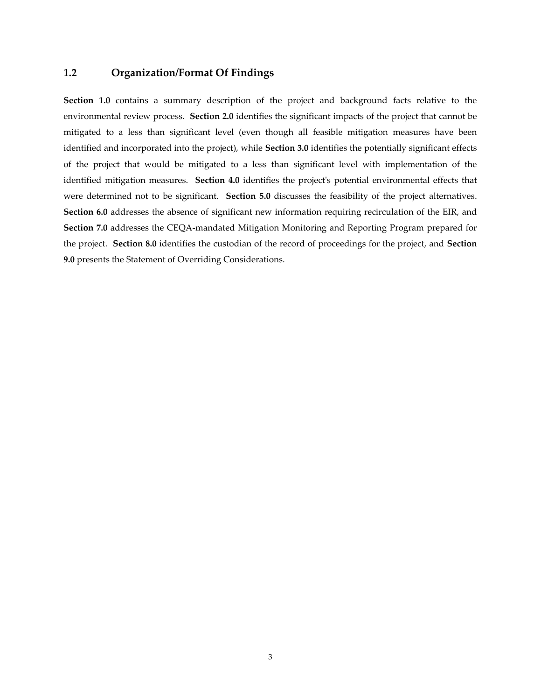## **1.2 Organization/Format Of Findings**

**Section 1.0** contains a summary description of the project and background facts relative to the environmental review process. **Section 2.0** identifies the significant impacts of the project that cannot be mitigated to a less than significant level (even though all feasible mitigation measures have been identified and incorporated into the project), while **Section 3.0** identifies the potentially significant effects of the project that would be mitigated to a less than significant level with implementation of the identified mitigation measures. **Section 4.0** identifies the project's potential environmental effects that were determined not to be significant. **Section 5.0** discusses the feasibility of the project alternatives. **Section 6.0** addresses the absence of significant new information requiring recirculation of the EIR, and **Section 7.0** addresses the CEQA-mandated Mitigation Monitoring and Reporting Program prepared for the project. **Section 8.0** identifies the custodian of the record of proceedings for the project, and **Section 9.0** presents the Statement of Overriding Considerations.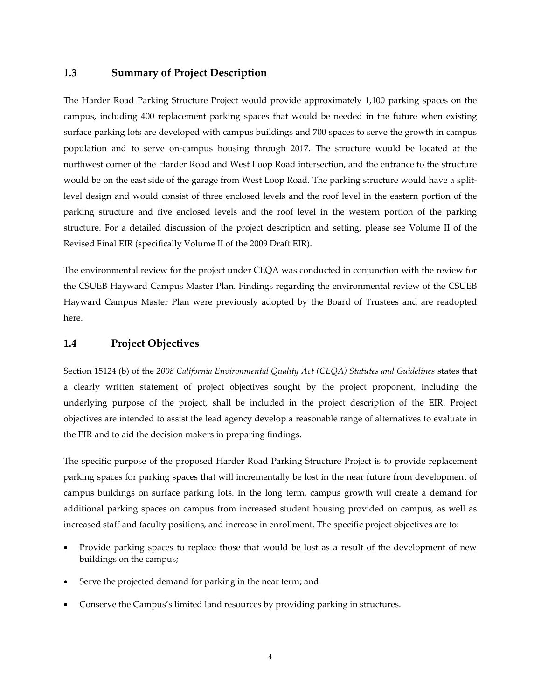### **1.3 Summary of Project Description**

The Harder Road Parking Structure Project would provide approximately 1,100 parking spaces on the campus, including 400 replacement parking spaces that would be needed in the future when existing surface parking lots are developed with campus buildings and 700 spaces to serve the growth in campus population and to serve on-campus housing through 2017. The structure would be located at the northwest corner of the Harder Road and West Loop Road intersection, and the entrance to the structure would be on the east side of the garage from West Loop Road. The parking structure would have a splitlevel design and would consist of three enclosed levels and the roof level in the eastern portion of the parking structure and five enclosed levels and the roof level in the western portion of the parking structure. For a detailed discussion of the project description and setting, please see Volume II of the Revised Final EIR (specifically Volume II of the 2009 Draft EIR).

The environmental review for the project under CEQA was conducted in conjunction with the review for the CSUEB Hayward Campus Master Plan. Findings regarding the environmental review of the CSUEB Hayward Campus Master Plan were previously adopted by the Board of Trustees and are readopted here.

#### **1.4 Project Objectives**

Section 15124 (b) of the *2008 California Environmental Quality Act (CEQA) Statutes and Guidelines* states that a clearly written statement of project objectives sought by the project proponent, including the underlying purpose of the project, shall be included in the project description of the EIR. Project objectives are intended to assist the lead agency develop a reasonable range of alternatives to evaluate in the EIR and to aid the decision makers in preparing findings.

The specific purpose of the proposed Harder Road Parking Structure Project is to provide replacement parking spaces for parking spaces that will incrementally be lost in the near future from development of campus buildings on surface parking lots. In the long term, campus growth will create a demand for additional parking spaces on campus from increased student housing provided on campus, as well as increased staff and faculty positions, and increase in enrollment. The specific project objectives are to:

- Provide parking spaces to replace those that would be lost as a result of the development of new buildings on the campus;
- Serve the projected demand for parking in the near term; and
- Conserve the Campus's limited land resources by providing parking in structures.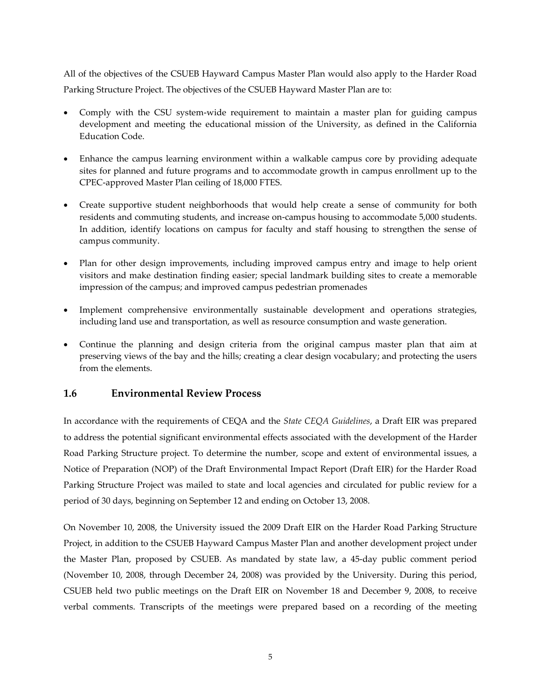All of the objectives of the CSUEB Hayward Campus Master Plan would also apply to the Harder Road Parking Structure Project. The objectives of the CSUEB Hayward Master Plan are to:

- Comply with the CSU system-wide requirement to maintain a master plan for guiding campus development and meeting the educational mission of the University, as defined in the California Education Code.
- Enhance the campus learning environment within a walkable campus core by providing adequate sites for planned and future programs and to accommodate growth in campus enrollment up to the CPEC-approved Master Plan ceiling of 18,000 FTES.
- Create supportive student neighborhoods that would help create a sense of community for both residents and commuting students, and increase on-campus housing to accommodate 5,000 students. In addition, identify locations on campus for faculty and staff housing to strengthen the sense of campus community.
- Plan for other design improvements, including improved campus entry and image to help orient visitors and make destination finding easier; special landmark building sites to create a memorable impression of the campus; and improved campus pedestrian promenades
- Implement comprehensive environmentally sustainable development and operations strategies, including land use and transportation, as well as resource consumption and waste generation.
- Continue the planning and design criteria from the original campus master plan that aim at preserving views of the bay and the hills; creating a clear design vocabulary; and protecting the users from the elements.

## **1.6 Environmental Review Process**

In accordance with the requirements of CEQA and the *State CEQA Guidelines*, a Draft EIR was prepared to address the potential significant environmental effects associated with the development of the Harder Road Parking Structure project. To determine the number, scope and extent of environmental issues, a Notice of Preparation (NOP) of the Draft Environmental Impact Report (Draft EIR) for the Harder Road Parking Structure Project was mailed to state and local agencies and circulated for public review for a period of 30 days, beginning on September 12 and ending on October 13, 2008.

On November 10, 2008, the University issued the 2009 Draft EIR on the Harder Road Parking Structure Project, in addition to the CSUEB Hayward Campus Master Plan and another development project under the Master Plan, proposed by CSUEB. As mandated by state law, a 45-day public comment period (November 10, 2008, through December 24, 2008) was provided by the University. During this period, CSUEB held two public meetings on the Draft EIR on November 18 and December 9, 2008, to receive verbal comments. Transcripts of the meetings were prepared based on a recording of the meeting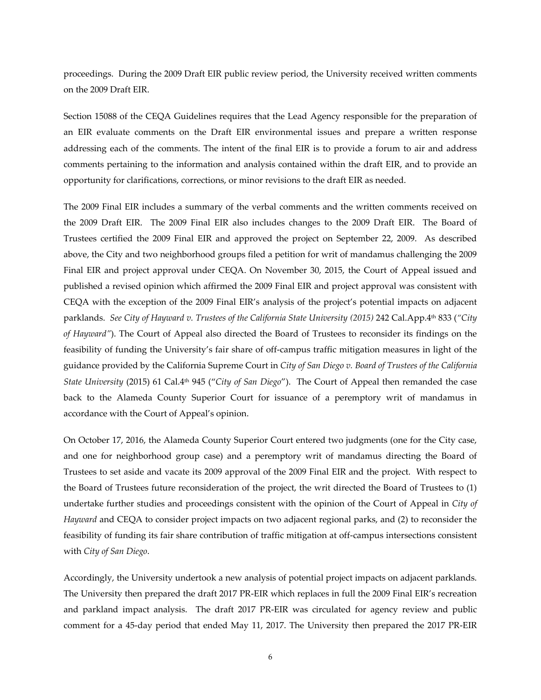proceedings. During the 2009 Draft EIR public review period, the University received written comments on the 2009 Draft EIR.

Section 15088 of the CEQA Guidelines requires that the Lead Agency responsible for the preparation of an EIR evaluate comments on the Draft EIR environmental issues and prepare a written response addressing each of the comments. The intent of the final EIR is to provide a forum to air and address comments pertaining to the information and analysis contained within the draft EIR, and to provide an opportunity for clarifications, corrections, or minor revisions to the draft EIR as needed.

The 2009 Final EIR includes a summary of the verbal comments and the written comments received on the 2009 Draft EIR. The 2009 Final EIR also includes changes to the 2009 Draft EIR. The Board of Trustees certified the 2009 Final EIR and approved the project on September 22, 2009. As described above, the City and two neighborhood groups filed a petition for writ of mandamus challenging the 2009 Final EIR and project approval under CEQA. On November 30, 2015, the Court of Appeal issued and published a revised opinion which affirmed the 2009 Final EIR and project approval was consistent with CEQA with the exception of the 2009 Final EIR's analysis of the project's potential impacts on adjacent parklands. *See City of Hayward v. Trustees of the California State University (2015)* 242 Cal.App.4th 833 (*"City of Hayward"*). The Court of Appeal also directed the Board of Trustees to reconsider its findings on the feasibility of funding the University's fair share of off-campus traffic mitigation measures in light of the guidance provided by the California Supreme Court in *City of San Diego v. Board of Trustees of the California State University* (2015) 61 Cal.4th 945 ("*City of San Diego*"). The Court of Appeal then remanded the case back to the Alameda County Superior Court for issuance of a peremptory writ of mandamus in accordance with the Court of Appeal's opinion.

On October 17, 2016, the Alameda County Superior Court entered two judgments (one for the City case, and one for neighborhood group case) and a peremptory writ of mandamus directing the Board of Trustees to set aside and vacate its 2009 approval of the 2009 Final EIR and the project. With respect to the Board of Trustees future reconsideration of the project, the writ directed the Board of Trustees to (1) undertake further studies and proceedings consistent with the opinion of the Court of Appeal in *City of Hayward* and CEQA to consider project impacts on two adjacent regional parks, and (2) to reconsider the feasibility of funding its fair share contribution of traffic mitigation at off-campus intersections consistent with *City of San Diego*.

Accordingly, the University undertook a new analysis of potential project impacts on adjacent parklands. The University then prepared the draft 2017 PR-EIR which replaces in full the 2009 Final EIR's recreation and parkland impact analysis. The draft 2017 PR-EIR was circulated for agency review and public comment for a 45-day period that ended May 11, 2017. The University then prepared the 2017 PR-EIR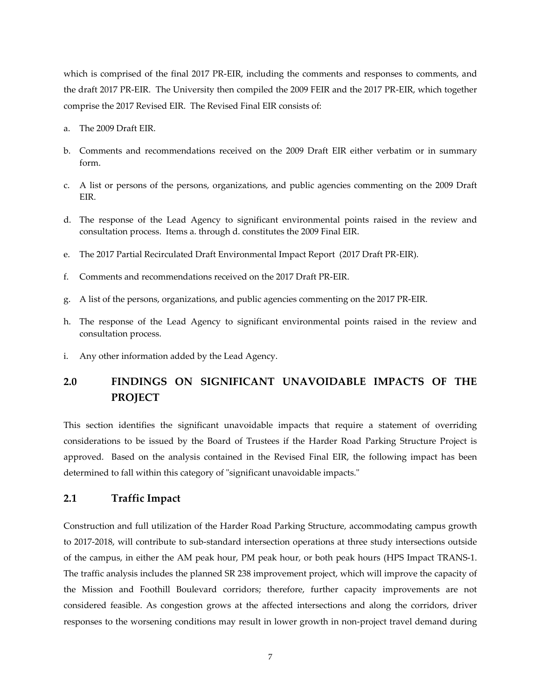which is comprised of the final 2017 PR-EIR, including the comments and responses to comments, and the draft 2017 PR-EIR. The University then compiled the 2009 FEIR and the 2017 PR-EIR, which together comprise the 2017 Revised EIR. The Revised Final EIR consists of:

- a. The 2009 Draft EIR.
- b. Comments and recommendations received on the 2009 Draft EIR either verbatim or in summary form.
- c. A list or persons of the persons, organizations, and public agencies commenting on the 2009 Draft EIR.
- d. The response of the Lead Agency to significant environmental points raised in the review and consultation process. Items a. through d. constitutes the 2009 Final EIR.
- e. The 2017 Partial Recirculated Draft Environmental Impact Report (2017 Draft PR-EIR).
- f. Comments and recommendations received on the 2017 Draft PR-EIR.
- g. A list of the persons, organizations, and public agencies commenting on the 2017 PR-EIR.
- h. The response of the Lead Agency to significant environmental points raised in the review and consultation process.
- i. Any other information added by the Lead Agency.

# **2.0 FINDINGS ON SIGNIFICANT UNAVOIDABLE IMPACTS OF THE PROJECT**

This section identifies the significant unavoidable impacts that require a statement of overriding considerations to be issued by the Board of Trustees if the Harder Road Parking Structure Project is approved. Based on the analysis contained in the Revised Final EIR, the following impact has been determined to fall within this category of "significant unavoidable impacts."

### **2.1 Traffic Impact**

Construction and full utilization of the Harder Road Parking Structure, accommodating campus growth to 2017-2018, will contribute to sub-standard intersection operations at three study intersections outside of the campus, in either the AM peak hour, PM peak hour, or both peak hours (HPS Impact TRANS-1. The traffic analysis includes the planned SR 238 improvement project, which will improve the capacity of the Mission and Foothill Boulevard corridors; therefore, further capacity improvements are not considered feasible. As congestion grows at the affected intersections and along the corridors, driver responses to the worsening conditions may result in lower growth in non-project travel demand during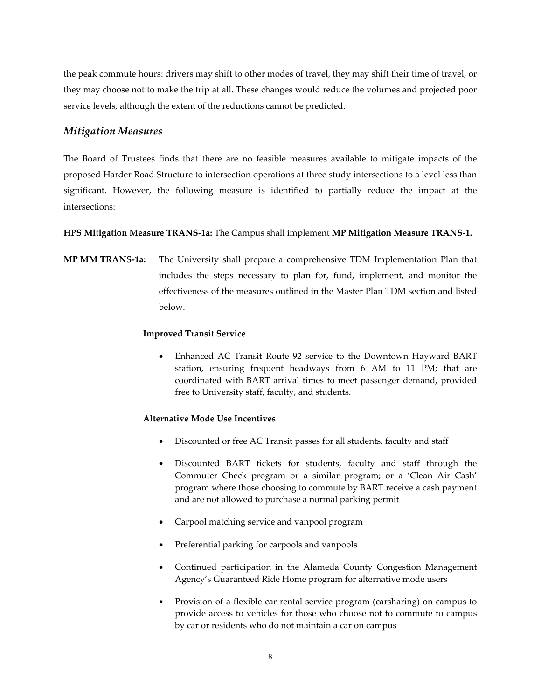the peak commute hours: drivers may shift to other modes of travel, they may shift their time of travel, or they may choose not to make the trip at all. These changes would reduce the volumes and projected poor service levels, although the extent of the reductions cannot be predicted.

## *Mitigation Measures*

The Board of Trustees finds that there are no feasible measures available to mitigate impacts of the proposed Harder Road Structure to intersection operations at three study intersections to a level less than significant. However, the following measure is identified to partially reduce the impact at the intersections:

### **HPS Mitigation Measure TRANS-1a:** The Campus shall implement **MP Mitigation Measure TRANS-1.**

**MP MM TRANS-1a:** The University shall prepare a comprehensive TDM Implementation Plan that includes the steps necessary to plan for, fund, implement, and monitor the effectiveness of the measures outlined in the Master Plan TDM section and listed below.

#### **Improved Transit Service**

 Enhanced AC Transit Route 92 service to the Downtown Hayward BART station, ensuring frequent headways from 6 AM to 11 PM; that are coordinated with BART arrival times to meet passenger demand, provided free to University staff, faculty, and students.

### **Alternative Mode Use Incentives**

- Discounted or free AC Transit passes for all students, faculty and staff
- Discounted BART tickets for students, faculty and staff through the Commuter Check program or a similar program; or a 'Clean Air Cash' program where those choosing to commute by BART receive a cash payment and are not allowed to purchase a normal parking permit
- Carpool matching service and vanpool program
- Preferential parking for carpools and vanpools
- Continued participation in the Alameda County Congestion Management Agency's Guaranteed Ride Home program for alternative mode users
- Provision of a flexible car rental service program (carsharing) on campus to provide access to vehicles for those who choose not to commute to campus by car or residents who do not maintain a car on campus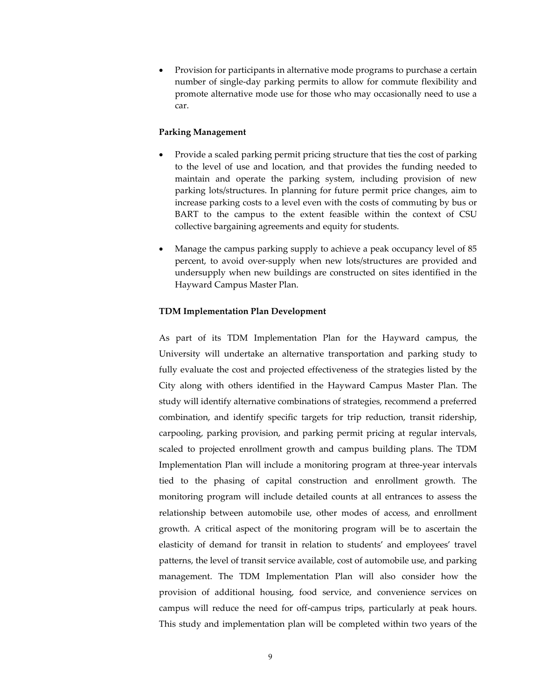Provision for participants in alternative mode programs to purchase a certain number of single-day parking permits to allow for commute flexibility and promote alternative mode use for those who may occasionally need to use a car.

#### **Parking Management**

- Provide a scaled parking permit pricing structure that ties the cost of parking to the level of use and location, and that provides the funding needed to maintain and operate the parking system, including provision of new parking lots/structures. In planning for future permit price changes, aim to increase parking costs to a level even with the costs of commuting by bus or BART to the campus to the extent feasible within the context of CSU collective bargaining agreements and equity for students.
- Manage the campus parking supply to achieve a peak occupancy level of 85 percent, to avoid over-supply when new lots/structures are provided and undersupply when new buildings are constructed on sites identified in the Hayward Campus Master Plan.

#### **TDM Implementation Plan Development**

As part of its TDM Implementation Plan for the Hayward campus, the University will undertake an alternative transportation and parking study to fully evaluate the cost and projected effectiveness of the strategies listed by the City along with others identified in the Hayward Campus Master Plan. The study will identify alternative combinations of strategies, recommend a preferred combination, and identify specific targets for trip reduction, transit ridership, carpooling, parking provision, and parking permit pricing at regular intervals, scaled to projected enrollment growth and campus building plans. The TDM Implementation Plan will include a monitoring program at three-year intervals tied to the phasing of capital construction and enrollment growth. The monitoring program will include detailed counts at all entrances to assess the relationship between automobile use, other modes of access, and enrollment growth. A critical aspect of the monitoring program will be to ascertain the elasticity of demand for transit in relation to students' and employees' travel patterns, the level of transit service available, cost of automobile use, and parking management. The TDM Implementation Plan will also consider how the provision of additional housing, food service, and convenience services on campus will reduce the need for off-campus trips, particularly at peak hours. This study and implementation plan will be completed within two years of the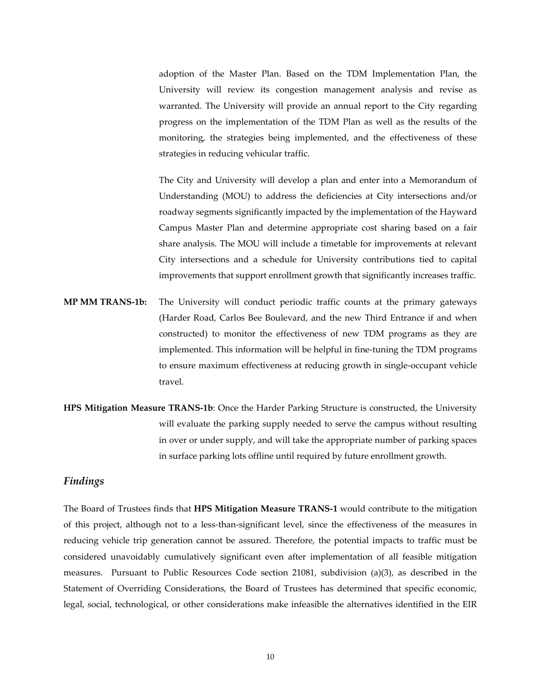adoption of the Master Plan. Based on the TDM Implementation Plan, the University will review its congestion management analysis and revise as warranted. The University will provide an annual report to the City regarding progress on the implementation of the TDM Plan as well as the results of the monitoring, the strategies being implemented, and the effectiveness of these strategies in reducing vehicular traffic.

The City and University will develop a plan and enter into a Memorandum of Understanding (MOU) to address the deficiencies at City intersections and/or roadway segments significantly impacted by the implementation of the Hayward Campus Master Plan and determine appropriate cost sharing based on a fair share analysis. The MOU will include a timetable for improvements at relevant City intersections and a schedule for University contributions tied to capital improvements that support enrollment growth that significantly increases traffic.

- **MP MM TRANS-1b:** The University will conduct periodic traffic counts at the primary gateways (Harder Road, Carlos Bee Boulevard, and the new Third Entrance if and when constructed) to monitor the effectiveness of new TDM programs as they are implemented. This information will be helpful in fine-tuning the TDM programs to ensure maximum effectiveness at reducing growth in single-occupant vehicle travel.
- **HPS Mitigation Measure TRANS-1b**: Once the Harder Parking Structure is constructed, the University will evaluate the parking supply needed to serve the campus without resulting in over or under supply, and will take the appropriate number of parking spaces in surface parking lots offline until required by future enrollment growth.

#### *Findings*

The Board of Trustees finds that **HPS Mitigation Measure TRANS-1** would contribute to the mitigation of this project, although not to a less-than-significant level, since the effectiveness of the measures in reducing vehicle trip generation cannot be assured. Therefore, the potential impacts to traffic must be considered unavoidably cumulatively significant even after implementation of all feasible mitigation measures. Pursuant to Public Resources Code section 21081, subdivision (a)(3), as described in the Statement of Overriding Considerations, the Board of Trustees has determined that specific economic, legal, social, technological, or other considerations make infeasible the alternatives identified in the EIR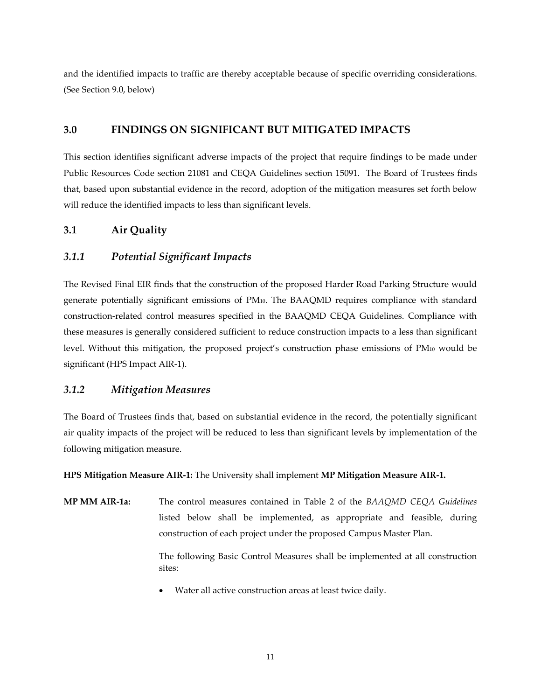and the identified impacts to traffic are thereby acceptable because of specific overriding considerations. (See Section 9.0, below)

## **3.0 FINDINGS ON SIGNIFICANT BUT MITIGATED IMPACTS**

This section identifies significant adverse impacts of the project that require findings to be made under Public Resources Code section 21081 and CEQA Guidelines section 15091. The Board of Trustees finds that, based upon substantial evidence in the record, adoption of the mitigation measures set forth below will reduce the identified impacts to less than significant levels.

## **3.1 Air Quality**

## *3.1.1 Potential Significant Impacts*

The Revised Final EIR finds that the construction of the proposed Harder Road Parking Structure would generate potentially significant emissions of PM10. The BAAQMD requires compliance with standard construction-related control measures specified in the BAAQMD CEQA Guidelines. Compliance with these measures is generally considered sufficient to reduce construction impacts to a less than significant level. Without this mitigation, the proposed project's construction phase emissions of PM10 would be significant (HPS Impact AIR-1).

## *3.1.2 Mitigation Measures*

The Board of Trustees finds that, based on substantial evidence in the record, the potentially significant air quality impacts of the project will be reduced to less than significant levels by implementation of the following mitigation measure.

**HPS Mitigation Measure AIR-1:** The University shall implement **MP Mitigation Measure AIR-1.**

**MP MM AIR-1a:** The control measures contained in Table 2 of the *BAAQMD CEQA Guidelines* listed below shall be implemented, as appropriate and feasible, during construction of each project under the proposed Campus Master Plan.

> The following Basic Control Measures shall be implemented at all construction sites:

Water all active construction areas at least twice daily.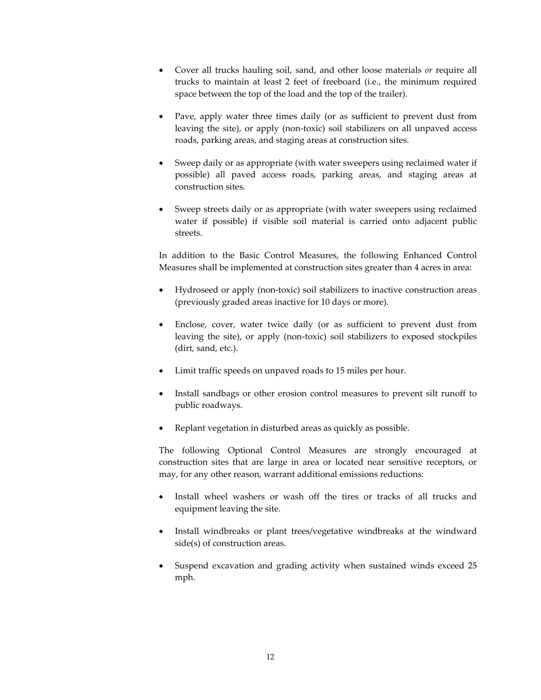- Cover all trucks hauling soil, sand, and other loose materials *or* require all trucks to maintain at least 2 feet of freeboard (i.e., the minimum required space between the top of the load and the top of the trailer).
- Pave, apply water three times daily (or as sufficient to prevent dust from leaving the site), or apply (non-toxic) soil stabilizers on all unpaved access roads, parking areas, and staging areas at construction sites.
- Sweep daily or as appropriate (with water sweepers using reclaimed water if possible) all paved access roads, parking areas, and staging areas at construction sites.
- Sweep streets daily or as appropriate (with water sweepers using reclaimed water if possible) if visible soil material is carried onto adjacent public streets.

In addition to the Basic Control Measures, the following Enhanced Control Measures shall be implemented at construction sites greater than 4 acres in area:

- Hydroseed or apply (non-toxic) soil stabilizers to inactive construction areas (previously graded areas inactive for 10 days or more).
- Enclose, cover, water twice daily (or as sufficient to prevent dust from leaving the site), or apply (non-toxic) soil stabilizers to exposed stockpiles (dirt, sand, etc.).
- Limit traffic speeds on unpaved roads to 15 miles per hour.
- Install sandbags or other erosion control measures to prevent silt runoff to public roadways.
- Replant vegetation in disturbed areas as quickly as possible.

The following Optional Control Measures are strongly encouraged at construction sites that are large in area or located near sensitive receptors, or may, for any other reason, warrant additional emissions reductions:

- Install wheel washers or wash off the tires or tracks of all trucks and equipment leaving the site.
- Install windbreaks or plant trees/vegetative windbreaks at the windward side(s) of construction areas.
- Suspend excavation and grading activity when sustained winds exceed 25 mph.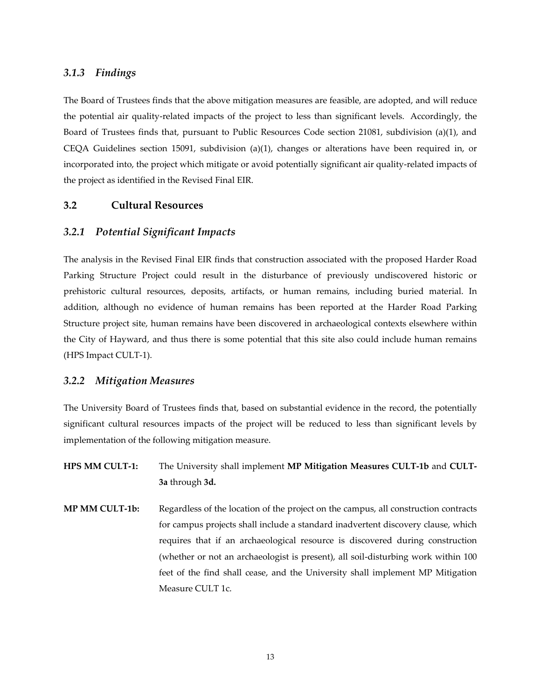### *3.1.3 Findings*

The Board of Trustees finds that the above mitigation measures are feasible, are adopted, and will reduce the potential air quality-related impacts of the project to less than significant levels. Accordingly, the Board of Trustees finds that, pursuant to Public Resources Code section 21081, subdivision (a)(1), and CEQA Guidelines section 15091, subdivision (a)(1), changes or alterations have been required in, or incorporated into, the project which mitigate or avoid potentially significant air quality-related impacts of the project as identified in the Revised Final EIR.

#### **3.2 Cultural Resources**

#### *3.2.1 Potential Significant Impacts*

The analysis in the Revised Final EIR finds that construction associated with the proposed Harder Road Parking Structure Project could result in the disturbance of previously undiscovered historic or prehistoric cultural resources, deposits, artifacts, or human remains, including buried material. In addition, although no evidence of human remains has been reported at the Harder Road Parking Structure project site, human remains have been discovered in archaeological contexts elsewhere within the City of Hayward, and thus there is some potential that this site also could include human remains (HPS Impact CULT-1).

#### *3.2.2 Mitigation Measures*

The University Board of Trustees finds that, based on substantial evidence in the record, the potentially significant cultural resources impacts of the project will be reduced to less than significant levels by implementation of the following mitigation measure.

- **HPS MM CULT-1:** The University shall implement **MP Mitigation Measures CULT-1b** and **CULT-3a** through **3d.**
- **MP MM CULT-1b:** Regardless of the location of the project on the campus, all construction contracts for campus projects shall include a standard inadvertent discovery clause, which requires that if an archaeological resource is discovered during construction (whether or not an archaeologist is present), all soil-disturbing work within 100 feet of the find shall cease, and the University shall implement MP Mitigation Measure CULT 1c.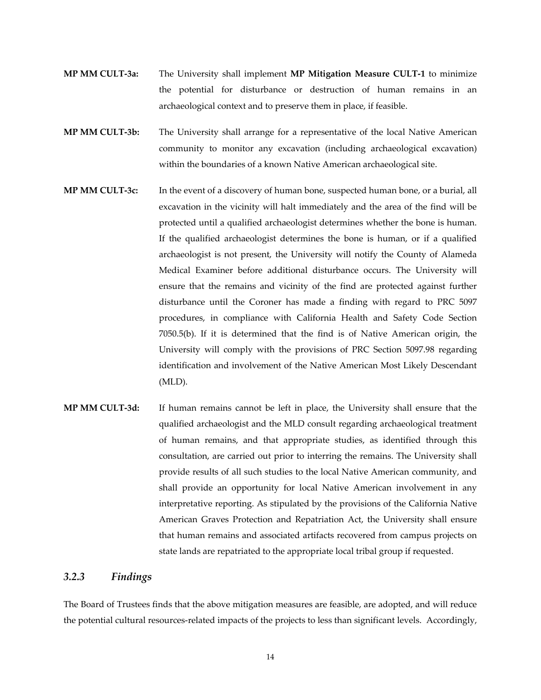- **MP MM CULT-3a:** The University shall implement **MP Mitigation Measure CULT-1** to minimize the potential for disturbance or destruction of human remains in an archaeological context and to preserve them in place, if feasible.
- **MP MM CULT-3b:** The University shall arrange for a representative of the local Native American community to monitor any excavation (including archaeological excavation) within the boundaries of a known Native American archaeological site.
- **MP MM CULT-3c:** In the event of a discovery of human bone, suspected human bone, or a burial, all excavation in the vicinity will halt immediately and the area of the find will be protected until a qualified archaeologist determines whether the bone is human. If the qualified archaeologist determines the bone is human, or if a qualified archaeologist is not present, the University will notify the County of Alameda Medical Examiner before additional disturbance occurs. The University will ensure that the remains and vicinity of the find are protected against further disturbance until the Coroner has made a finding with regard to PRC 5097 procedures, in compliance with California Health and Safety Code Section 7050.5(b). If it is determined that the find is of Native American origin, the University will comply with the provisions of PRC Section 5097.98 regarding identification and involvement of the Native American Most Likely Descendant (MLD).
- **MP MM CULT-3d:** If human remains cannot be left in place, the University shall ensure that the qualified archaeologist and the MLD consult regarding archaeological treatment of human remains, and that appropriate studies, as identified through this consultation, are carried out prior to interring the remains. The University shall provide results of all such studies to the local Native American community, and shall provide an opportunity for local Native American involvement in any interpretative reporting. As stipulated by the provisions of the California Native American Graves Protection and Repatriation Act, the University shall ensure that human remains and associated artifacts recovered from campus projects on state lands are repatriated to the appropriate local tribal group if requested.

### *3.2.3 Findings*

The Board of Trustees finds that the above mitigation measures are feasible, are adopted, and will reduce the potential cultural resources-related impacts of the projects to less than significant levels. Accordingly,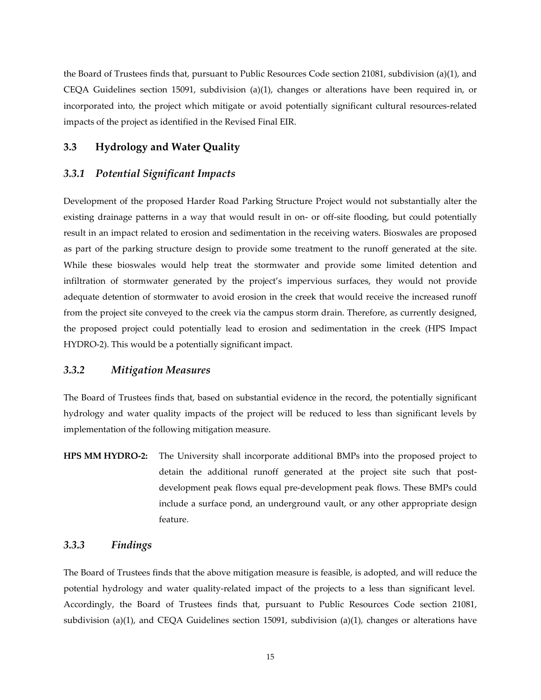the Board of Trustees finds that, pursuant to Public Resources Code section 21081, subdivision (a)(1), and CEQA Guidelines section 15091, subdivision (a)(1), changes or alterations have been required in, or incorporated into, the project which mitigate or avoid potentially significant cultural resources-related impacts of the project as identified in the Revised Final EIR.

### **3.3 Hydrology and Water Quality**

#### *3.3.1 Potential Significant Impacts*

Development of the proposed Harder Road Parking Structure Project would not substantially alter the existing drainage patterns in a way that would result in on- or off-site flooding, but could potentially result in an impact related to erosion and sedimentation in the receiving waters. Bioswales are proposed as part of the parking structure design to provide some treatment to the runoff generated at the site. While these bioswales would help treat the stormwater and provide some limited detention and infiltration of stormwater generated by the project's impervious surfaces, they would not provide adequate detention of stormwater to avoid erosion in the creek that would receive the increased runoff from the project site conveyed to the creek via the campus storm drain. Therefore, as currently designed, the proposed project could potentially lead to erosion and sedimentation in the creek (HPS Impact HYDRO-2). This would be a potentially significant impact.

#### *3.3.2 Mitigation Measures*

The Board of Trustees finds that, based on substantial evidence in the record, the potentially significant hydrology and water quality impacts of the project will be reduced to less than significant levels by implementation of the following mitigation measure.

**HPS MM HYDRO-2:** The University shall incorporate additional BMPs into the proposed project to detain the additional runoff generated at the project site such that postdevelopment peak flows equal pre-development peak flows. These BMPs could include a surface pond, an underground vault, or any other appropriate design feature.

### *3.3.3 Findings*

The Board of Trustees finds that the above mitigation measure is feasible, is adopted, and will reduce the potential hydrology and water quality-related impact of the projects to a less than significant level. Accordingly, the Board of Trustees finds that, pursuant to Public Resources Code section 21081, subdivision (a)(1), and CEQA Guidelines section 15091, subdivision (a)(1), changes or alterations have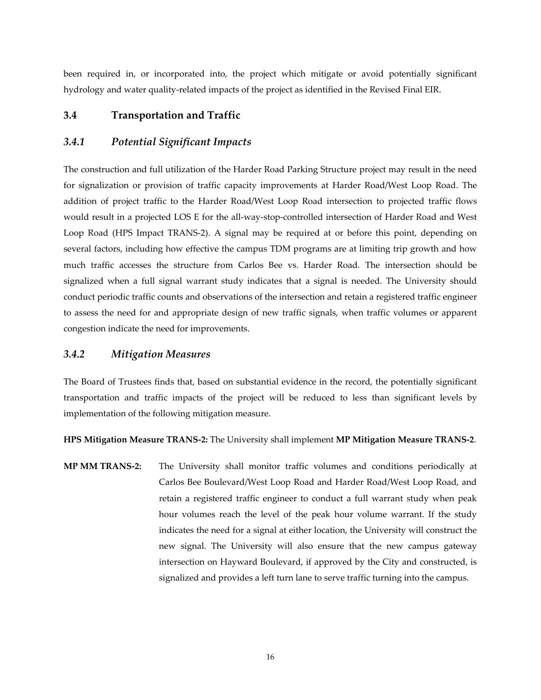been required in, or incorporated into, the project which mitigate or avoid potentially significant hydrology and water quality-related impacts of the project as identified in the Revised Final EIR.

## **3.4 Transportation and Traffic**

### *3.4.1 Potential Significant Impacts*

The construction and full utilization of the Harder Road Parking Structure project may result in the need for signalization or provision of traffic capacity improvements at Harder Road/West Loop Road. The addition of project traffic to the Harder Road/West Loop Road intersection to projected traffic flows would result in a projected LOS E for the all-way-stop-controlled intersection of Harder Road and West Loop Road (HPS Impact TRANS-2). A signal may be required at or before this point, depending on several factors, including how effective the campus TDM programs are at limiting trip growth and how much traffic accesses the structure from Carlos Bee vs. Harder Road. The intersection should be signalized when a full signal warrant study indicates that a signal is needed. The University should conduct periodic traffic counts and observations of the intersection and retain a registered traffic engineer to assess the need for and appropriate design of new traffic signals, when traffic volumes or apparent congestion indicate the need for improvements.

### *3.4.2 Mitigation Measures*

The Board of Trustees finds that, based on substantial evidence in the record, the potentially significant transportation and traffic impacts of the project will be reduced to less than significant levels by implementation of the following mitigation measure.

**HPS Mitigation Measure TRANS-2:** The University shall implement **MP Mitigation Measure TRANS-2**.

**MP MM TRANS-2:** The University shall monitor traffic volumes and conditions periodically at Carlos Bee Boulevard/West Loop Road and Harder Road/West Loop Road, and retain a registered traffic engineer to conduct a full warrant study when peak hour volumes reach the level of the peak hour volume warrant. If the study indicates the need for a signal at either location, the University will construct the new signal. The University will also ensure that the new campus gateway intersection on Hayward Boulevard, if approved by the City and constructed, is signalized and provides a left turn lane to serve traffic turning into the campus.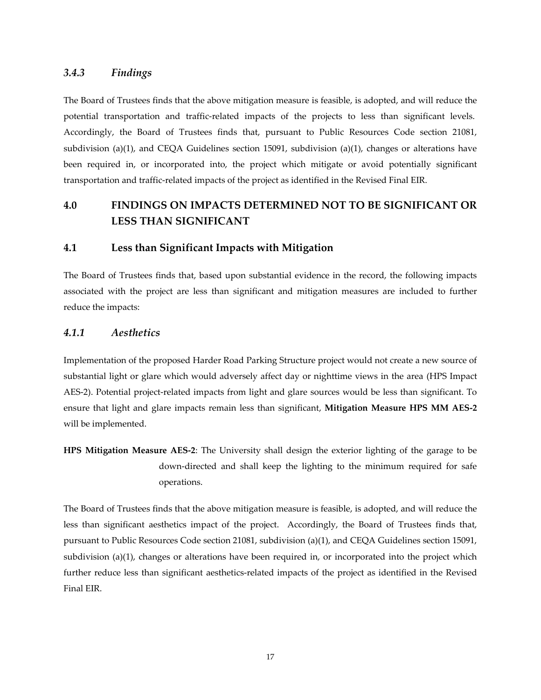### *3.4.3 Findings*

The Board of Trustees finds that the above mitigation measure is feasible, is adopted, and will reduce the potential transportation and traffic-related impacts of the projects to less than significant levels. Accordingly, the Board of Trustees finds that, pursuant to Public Resources Code section 21081, subdivision (a)(1), and CEQA Guidelines section 15091, subdivision (a)(1), changes or alterations have been required in, or incorporated into, the project which mitigate or avoid potentially significant transportation and traffic-related impacts of the project as identified in the Revised Final EIR.

# **4.0 FINDINGS ON IMPACTS DETERMINED NOT TO BE SIGNIFICANT OR LESS THAN SIGNIFICANT**

### **4.1 Less than Significant Impacts with Mitigation**

The Board of Trustees finds that, based upon substantial evidence in the record, the following impacts associated with the project are less than significant and mitigation measures are included to further reduce the impacts:

### *4.1.1 Aesthetics*

Implementation of the proposed Harder Road Parking Structure project would not create a new source of substantial light or glare which would adversely affect day or nighttime views in the area (HPS Impact AES-2). Potential project-related impacts from light and glare sources would be less than significant. To ensure that light and glare impacts remain less than significant, **Mitigation Measure HPS MM AES-2** will be implemented.

**HPS Mitigation Measure AES-2**: The University shall design the exterior lighting of the garage to be down-directed and shall keep the lighting to the minimum required for safe operations.

The Board of Trustees finds that the above mitigation measure is feasible, is adopted, and will reduce the less than significant aesthetics impact of the project. Accordingly, the Board of Trustees finds that, pursuant to Public Resources Code section 21081, subdivision (a)(1), and CEQA Guidelines section 15091, subdivision (a)(1), changes or alterations have been required in, or incorporated into the project which further reduce less than significant aesthetics-related impacts of the project as identified in the Revised Final EIR.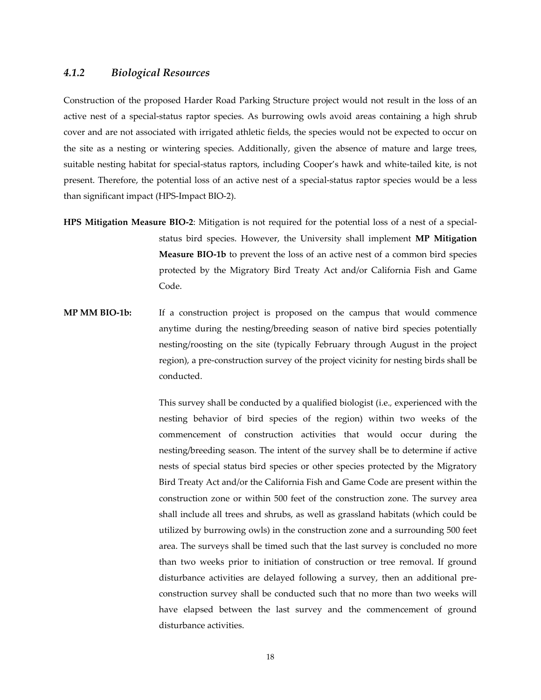#### *4.1.2 Biological Resources*

Construction of the proposed Harder Road Parking Structure project would not result in the loss of an active nest of a special-status raptor species. As burrowing owls avoid areas containing a high shrub cover and are not associated with irrigated athletic fields, the species would not be expected to occur on the site as a nesting or wintering species. Additionally, given the absence of mature and large trees, suitable nesting habitat for special-status raptors, including Cooper's hawk and white-tailed kite, is not present. Therefore, the potential loss of an active nest of a special-status raptor species would be a less than significant impact (HPS-Impact BIO-2).

- **HPS Mitigation Measure BIO-2**: Mitigation is not required for the potential loss of a nest of a specialstatus bird species. However, the University shall implement **MP Mitigation Measure BIO-1b** to prevent the loss of an active nest of a common bird species protected by the Migratory Bird Treaty Act and/or California Fish and Game Code.
- **MP MM BIO-1b:** If a construction project is proposed on the campus that would commence anytime during the nesting/breeding season of native bird species potentially nesting/roosting on the site (typically February through August in the project region), a pre-construction survey of the project vicinity for nesting birds shall be conducted.

This survey shall be conducted by a qualified biologist (i.e.*,* experienced with the nesting behavior of bird species of the region) within two weeks of the commencement of construction activities that would occur during the nesting/breeding season. The intent of the survey shall be to determine if active nests of special status bird species or other species protected by the Migratory Bird Treaty Act and/or the California Fish and Game Code are present within the construction zone or within 500 feet of the construction zone. The survey area shall include all trees and shrubs, as well as grassland habitats (which could be utilized by burrowing owls) in the construction zone and a surrounding 500 feet area. The surveys shall be timed such that the last survey is concluded no more than two weeks prior to initiation of construction or tree removal. If ground disturbance activities are delayed following a survey, then an additional preconstruction survey shall be conducted such that no more than two weeks will have elapsed between the last survey and the commencement of ground disturbance activities.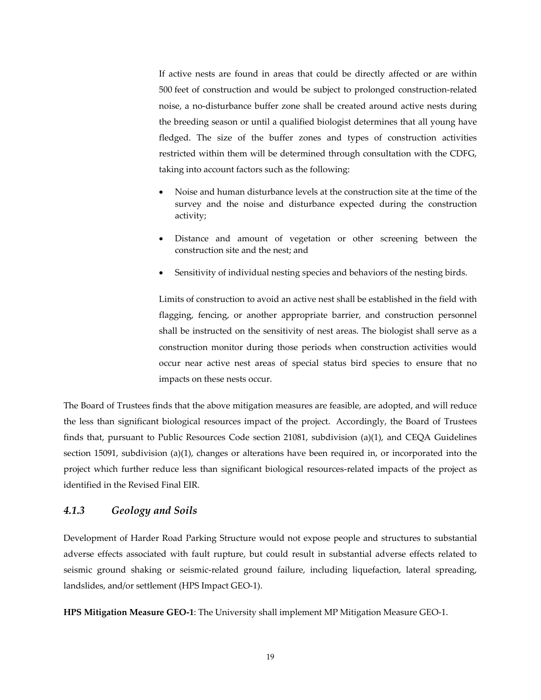If active nests are found in areas that could be directly affected or are within 500 feet of construction and would be subject to prolonged construction-related noise, a no-disturbance buffer zone shall be created around active nests during the breeding season or until a qualified biologist determines that all young have fledged. The size of the buffer zones and types of construction activities restricted within them will be determined through consultation with the CDFG, taking into account factors such as the following:

- Noise and human disturbance levels at the construction site at the time of the survey and the noise and disturbance expected during the construction activity;
- Distance and amount of vegetation or other screening between the construction site and the nest; and
- Sensitivity of individual nesting species and behaviors of the nesting birds.

Limits of construction to avoid an active nest shall be established in the field with flagging, fencing, or another appropriate barrier, and construction personnel shall be instructed on the sensitivity of nest areas. The biologist shall serve as a construction monitor during those periods when construction activities would occur near active nest areas of special status bird species to ensure that no impacts on these nests occur.

The Board of Trustees finds that the above mitigation measures are feasible, are adopted, and will reduce the less than significant biological resources impact of the project. Accordingly, the Board of Trustees finds that, pursuant to Public Resources Code section 21081, subdivision (a)(1), and CEQA Guidelines section 15091, subdivision (a)(1), changes or alterations have been required in, or incorporated into the project which further reduce less than significant biological resources-related impacts of the project as identified in the Revised Final EIR.

## *4.1.3 Geology and Soils*

Development of Harder Road Parking Structure would not expose people and structures to substantial adverse effects associated with fault rupture, but could result in substantial adverse effects related to seismic ground shaking or seismic-related ground failure, including liquefaction, lateral spreading, landslides, and/or settlement (HPS Impact GEO-1).

**HPS Mitigation Measure GEO-1**: The University shall implement MP Mitigation Measure GEO-1.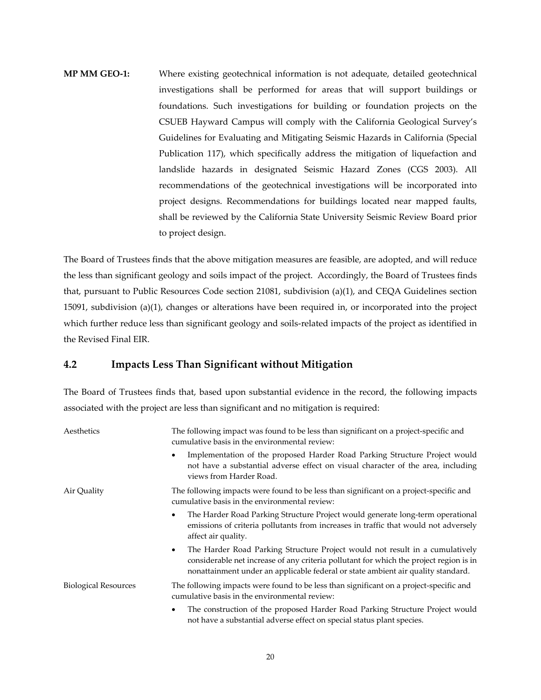# **MP MM GEO-1:** Where existing geotechnical information is not adequate, detailed geotechnical investigations shall be performed for areas that will support buildings or foundations. Such investigations for building or foundation projects on the CSUEB Hayward Campus will comply with the California Geological Survey's Guidelines for Evaluating and Mitigating Seismic Hazards in California (Special Publication 117), which specifically address the mitigation of liquefaction and landslide hazards in designated Seismic Hazard Zones (CGS 2003). All recommendations of the geotechnical investigations will be incorporated into project designs. Recommendations for buildings located near mapped faults, shall be reviewed by the California State University Seismic Review Board prior to project design.

The Board of Trustees finds that the above mitigation measures are feasible, are adopted, and will reduce the less than significant geology and soils impact of the project. Accordingly, the Board of Trustees finds that, pursuant to Public Resources Code section 21081, subdivision (a)(1), and CEQA Guidelines section 15091, subdivision (a)(1), changes or alterations have been required in, or incorporated into the project which further reduce less than significant geology and soils-related impacts of the project as identified in the Revised Final EIR.

## **4.2 Impacts Less Than Significant without Mitigation**

The Board of Trustees finds that, based upon substantial evidence in the record, the following impacts associated with the project are less than significant and no mitigation is required:

| Aesthetics                  | The following impact was found to be less than significant on a project-specific and<br>cumulative basis in the environmental review:                                                                                                                                   |
|-----------------------------|-------------------------------------------------------------------------------------------------------------------------------------------------------------------------------------------------------------------------------------------------------------------------|
|                             | Implementation of the proposed Harder Road Parking Structure Project would<br>not have a substantial adverse effect on visual character of the area, including<br>views from Harder Road.                                                                               |
| Air Quality                 | The following impacts were found to be less than significant on a project-specific and<br>cumulative basis in the environmental review:                                                                                                                                 |
|                             | The Harder Road Parking Structure Project would generate long-term operational<br>٠<br>emissions of criteria pollutants from increases in traffic that would not adversely<br>affect air quality.                                                                       |
|                             | The Harder Road Parking Structure Project would not result in a cumulatively<br>$\bullet$<br>considerable net increase of any criteria pollutant for which the project region is in<br>nonattainment under an applicable federal or state ambient air quality standard. |
| <b>Biological Resources</b> | The following impacts were found to be less than significant on a project-specific and<br>cumulative basis in the environmental review:                                                                                                                                 |
|                             | The construction of the proposed Harder Road Parking Structure Project would<br>٠<br>not have a substantial adverse effect on special status plant species.                                                                                                             |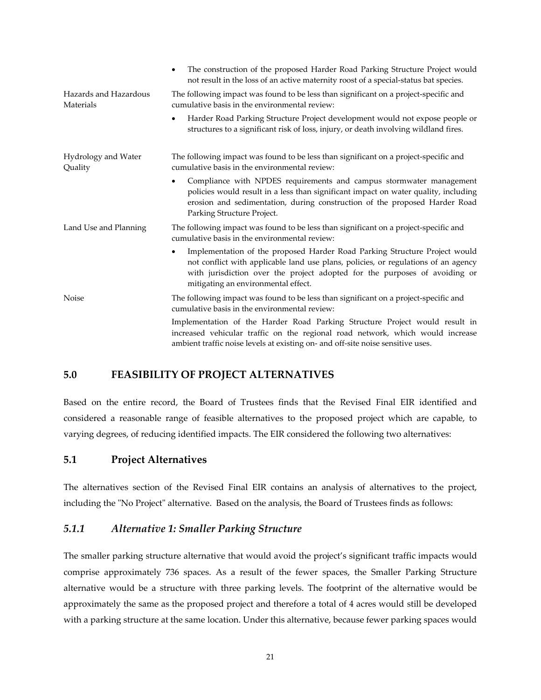|                                    | The construction of the proposed Harder Road Parking Structure Project would<br>not result in the loss of an active maternity roost of a special-status bat species.                                                                                                                               |
|------------------------------------|----------------------------------------------------------------------------------------------------------------------------------------------------------------------------------------------------------------------------------------------------------------------------------------------------|
| Hazards and Hazardous<br>Materials | The following impact was found to be less than significant on a project-specific and<br>cumulative basis in the environmental review:                                                                                                                                                              |
|                                    | Harder Road Parking Structure Project development would not expose people or<br>٠<br>structures to a significant risk of loss, injury, or death involving wildland fires.                                                                                                                          |
| Hydrology and Water<br>Quality     | The following impact was found to be less than significant on a project-specific and<br>cumulative basis in the environmental review:                                                                                                                                                              |
|                                    | Compliance with NPDES requirements and campus stormwater management<br>$\bullet$<br>policies would result in a less than significant impact on water quality, including<br>erosion and sedimentation, during construction of the proposed Harder Road<br>Parking Structure Project.                |
| Land Use and Planning              | The following impact was found to be less than significant on a project-specific and<br>cumulative basis in the environmental review:                                                                                                                                                              |
|                                    | Implementation of the proposed Harder Road Parking Structure Project would<br>$\bullet$<br>not conflict with applicable land use plans, policies, or regulations of an agency<br>with jurisdiction over the project adopted for the purposes of avoiding or<br>mitigating an environmental effect. |
| Noise                              | The following impact was found to be less than significant on a project-specific and<br>cumulative basis in the environmental review:                                                                                                                                                              |
|                                    | Implementation of the Harder Road Parking Structure Project would result in<br>increased vehicular traffic on the regional road network, which would increase<br>ambient traffic noise levels at existing on- and off-site noise sensitive uses.                                                   |

## **5.0 FEASIBILITY OF PROJECT ALTERNATIVES**

Based on the entire record, the Board of Trustees finds that the Revised Final EIR identified and considered a reasonable range of feasible alternatives to the proposed project which are capable, to varying degrees, of reducing identified impacts. The EIR considered the following two alternatives:

## **5.1 Project Alternatives**

The alternatives section of the Revised Final EIR contains an analysis of alternatives to the project, including the "No Project" alternative. Based on the analysis, the Board of Trustees finds as follows:

## *5.1.1 Alternative 1: Smaller Parking Structure*

The smaller parking structure alternative that would avoid the project's significant traffic impacts would comprise approximately 736 spaces. As a result of the fewer spaces, the Smaller Parking Structure alternative would be a structure with three parking levels. The footprint of the alternative would be approximately the same as the proposed project and therefore a total of 4 acres would still be developed with a parking structure at the same location. Under this alternative, because fewer parking spaces would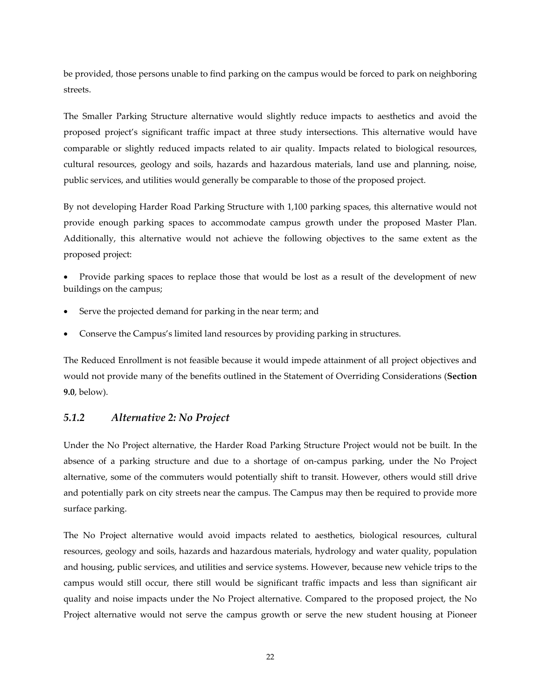be provided, those persons unable to find parking on the campus would be forced to park on neighboring streets.

The Smaller Parking Structure alternative would slightly reduce impacts to aesthetics and avoid the proposed project's significant traffic impact at three study intersections. This alternative would have comparable or slightly reduced impacts related to air quality. Impacts related to biological resources, cultural resources, geology and soils, hazards and hazardous materials, land use and planning, noise, public services, and utilities would generally be comparable to those of the proposed project.

By not developing Harder Road Parking Structure with 1,100 parking spaces, this alternative would not provide enough parking spaces to accommodate campus growth under the proposed Master Plan. Additionally, this alternative would not achieve the following objectives to the same extent as the proposed project:

 Provide parking spaces to replace those that would be lost as a result of the development of new buildings on the campus;

- Serve the projected demand for parking in the near term; and
- Conserve the Campus's limited land resources by providing parking in structures.

The Reduced Enrollment is not feasible because it would impede attainment of all project objectives and would not provide many of the benefits outlined in the Statement of Overriding Considerations (**Section 9.0**, below).

## *5.1.2 Alternative 2: No Project*

Under the No Project alternative, the Harder Road Parking Structure Project would not be built. In the absence of a parking structure and due to a shortage of on-campus parking, under the No Project alternative, some of the commuters would potentially shift to transit. However, others would still drive and potentially park on city streets near the campus. The Campus may then be required to provide more surface parking.

The No Project alternative would avoid impacts related to aesthetics, biological resources, cultural resources, geology and soils, hazards and hazardous materials, hydrology and water quality, population and housing, public services, and utilities and service systems. However, because new vehicle trips to the campus would still occur, there still would be significant traffic impacts and less than significant air quality and noise impacts under the No Project alternative. Compared to the proposed project, the No Project alternative would not serve the campus growth or serve the new student housing at Pioneer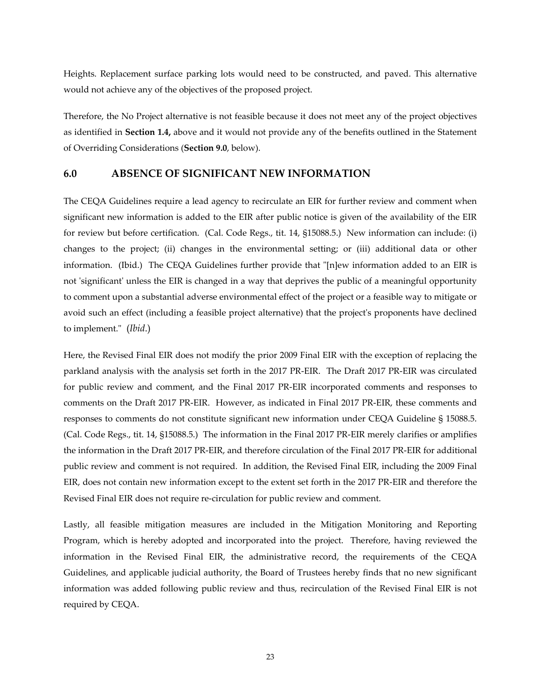Heights. Replacement surface parking lots would need to be constructed, and paved. This alternative would not achieve any of the objectives of the proposed project.

Therefore, the No Project alternative is not feasible because it does not meet any of the project objectives as identified in **Section 1.4,** above and it would not provide any of the benefits outlined in the Statement of Overriding Considerations (**Section 9.0**, below).

### **6.0 ABSENCE OF SIGNIFICANT NEW INFORMATION**

The CEQA Guidelines require a lead agency to recirculate an EIR for further review and comment when significant new information is added to the EIR after public notice is given of the availability of the EIR for review but before certification. (Cal. Code Regs., tit. 14, §15088.5.) New information can include: (i) changes to the project; (ii) changes in the environmental setting; or (iii) additional data or other information. (Ibid.) The CEQA Guidelines further provide that "[n]ew information added to an EIR is not 'significant' unless the EIR is changed in a way that deprives the public of a meaningful opportunity to comment upon a substantial adverse environmental effect of the project or a feasible way to mitigate or avoid such an effect (including a feasible project alternative) that the project's proponents have declined to implement." (*Ibid*.)

Here, the Revised Final EIR does not modify the prior 2009 Final EIR with the exception of replacing the parkland analysis with the analysis set forth in the 2017 PR-EIR. The Draft 2017 PR-EIR was circulated for public review and comment, and the Final 2017 PR-EIR incorporated comments and responses to comments on the Draft 2017 PR-EIR. However, as indicated in Final 2017 PR-EIR, these comments and responses to comments do not constitute significant new information under CEQA Guideline § 15088.5. (Cal. Code Regs., tit. 14, §15088.5.) The information in the Final 2017 PR-EIR merely clarifies or amplifies the information in the Draft 2017 PR-EIR, and therefore circulation of the Final 2017 PR-EIR for additional public review and comment is not required. In addition, the Revised Final EIR, including the 2009 Final EIR, does not contain new information except to the extent set forth in the 2017 PR-EIR and therefore the Revised Final EIR does not require re-circulation for public review and comment.

Lastly, all feasible mitigation measures are included in the Mitigation Monitoring and Reporting Program, which is hereby adopted and incorporated into the project. Therefore, having reviewed the information in the Revised Final EIR, the administrative record, the requirements of the CEQA Guidelines, and applicable judicial authority, the Board of Trustees hereby finds that no new significant information was added following public review and thus, recirculation of the Revised Final EIR is not required by CEQA.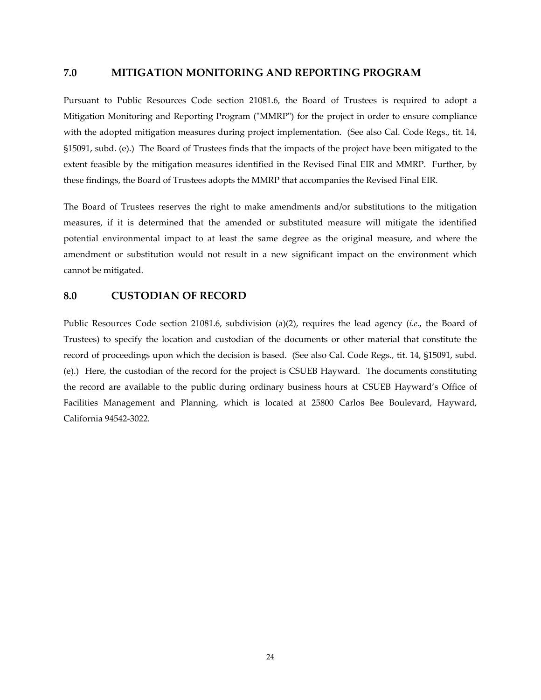#### **7.0 MITIGATION MONITORING AND REPORTING PROGRAM**

Pursuant to Public Resources Code section 21081.6, the Board of Trustees is required to adopt a Mitigation Monitoring and Reporting Program ("MMRP") for the project in order to ensure compliance with the adopted mitigation measures during project implementation. (See also Cal. Code Regs., tit. 14, §15091, subd. (e).) The Board of Trustees finds that the impacts of the project have been mitigated to the extent feasible by the mitigation measures identified in the Revised Final EIR and MMRP. Further, by these findings, the Board of Trustees adopts the MMRP that accompanies the Revised Final EIR.

The Board of Trustees reserves the right to make amendments and/or substitutions to the mitigation measures, if it is determined that the amended or substituted measure will mitigate the identified potential environmental impact to at least the same degree as the original measure, and where the amendment or substitution would not result in a new significant impact on the environment which cannot be mitigated.

#### **8.0 CUSTODIAN OF RECORD**

Public Resources Code section 21081.6, subdivision (a)(2), requires the lead agency (*i.e.*, the Board of Trustees) to specify the location and custodian of the documents or other material that constitute the record of proceedings upon which the decision is based. (See also Cal. Code Regs., tit. 14, §15091, subd. (e).) Here, the custodian of the record for the project is CSUEB Hayward. The documents constituting the record are available to the public during ordinary business hours at CSUEB Hayward's Office of Facilities Management and Planning, which is located at 25800 Carlos Bee Boulevard, Hayward, California 94542-3022.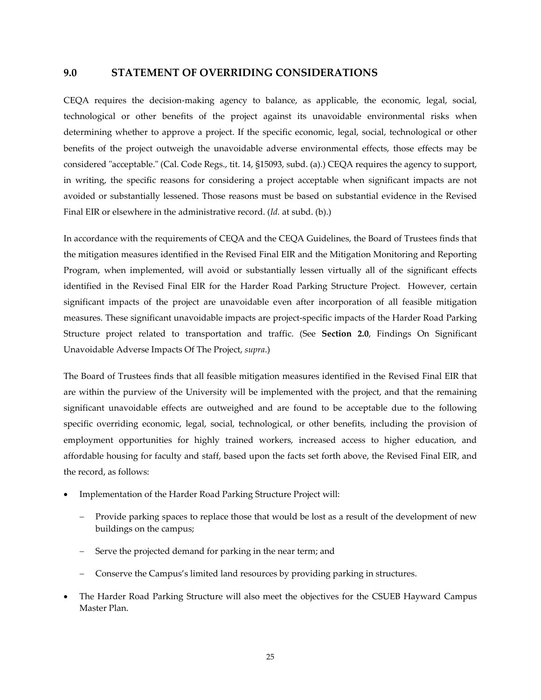#### **9.0 STATEMENT OF OVERRIDING CONSIDERATIONS**

CEQA requires the decision-making agency to balance, as applicable, the economic, legal, social, technological or other benefits of the project against its unavoidable environmental risks when determining whether to approve a project. If the specific economic, legal, social, technological or other benefits of the project outweigh the unavoidable adverse environmental effects, those effects may be considered "acceptable." (Cal. Code Regs., tit. 14, §15093, subd. (a).) CEQA requires the agency to support, in writing, the specific reasons for considering a project acceptable when significant impacts are not avoided or substantially lessened. Those reasons must be based on substantial evidence in the Revised Final EIR or elsewhere in the administrative record. (*Id.* at subd. (b).)

In accordance with the requirements of CEQA and the CEQA Guidelines, the Board of Trustees finds that the mitigation measures identified in the Revised Final EIR and the Mitigation Monitoring and Reporting Program, when implemented, will avoid or substantially lessen virtually all of the significant effects identified in the Revised Final EIR for the Harder Road Parking Structure Project. However, certain significant impacts of the project are unavoidable even after incorporation of all feasible mitigation measures. These significant unavoidable impacts are project-specific impacts of the Harder Road Parking Structure project related to transportation and traffic. (See **Section 2.0**, Findings On Significant Unavoidable Adverse Impacts Of The Project, *supra*.)

The Board of Trustees finds that all feasible mitigation measures identified in the Revised Final EIR that are within the purview of the University will be implemented with the project, and that the remaining significant unavoidable effects are outweighed and are found to be acceptable due to the following specific overriding economic, legal, social, technological, or other benefits, including the provision of employment opportunities for highly trained workers, increased access to higher education, and affordable housing for faculty and staff, based upon the facts set forth above, the Revised Final EIR, and the record, as follows:

- Implementation of the Harder Road Parking Structure Project will:
	- Provide parking spaces to replace those that would be lost as a result of the development of new buildings on the campus;
	- Serve the projected demand for parking in the near term; and
	- Conserve the Campus's limited land resources by providing parking in structures.
- The Harder Road Parking Structure will also meet the objectives for the CSUEB Hayward Campus Master Plan.